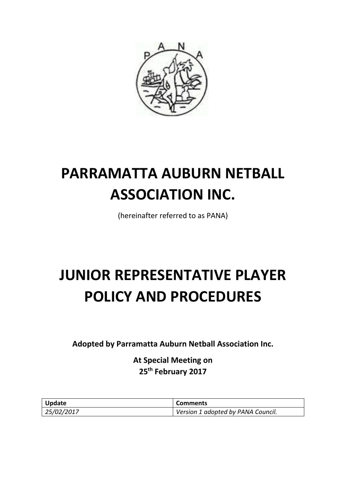

# **PARRAMATTA AUBURN NETBALL ASSOCIATION INC.**

(hereinafter referred to as PANA)

# **JUNIOR REPRESENTATIVE PLAYER POLICY AND PROCEDURES**

**Adopted by Parramatta Auburn Netball Association Inc.**

**At Special Meeting on 25th February 2017**

| Update     | Comments                           |
|------------|------------------------------------|
| 25/02/2017 | Version 1 adopted by PANA Council. |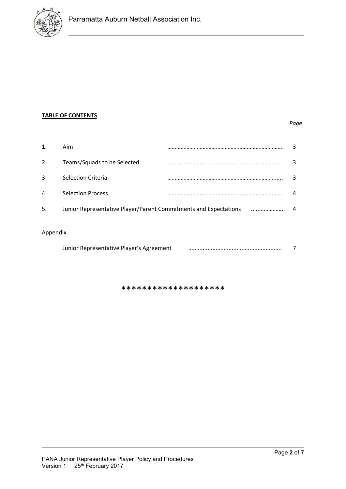

### **TABLE OF CONTENTS**

#### *Page*

|              | Aim                                                              |  |   |
|--------------|------------------------------------------------------------------|--|---|
| 2.           | Teams/Squads to be Selected                                      |  | ર |
| 3.           | <b>Selection Criteria</b>                                        |  | ξ |
| $\mathbf{4}$ | <b>Selection Process</b>                                         |  | 4 |
| 5.           | Junior Representative Player/Parent Commitments and Expectations |  | 4 |
|              |                                                                  |  |   |

## Appendix

| Junior Representative Player's Agreement |  |
|------------------------------------------|--|
|                                          |  |

\*\*\*\*\*\*\*\*\*\*\*\*\*\*\*\*\*\*\*\*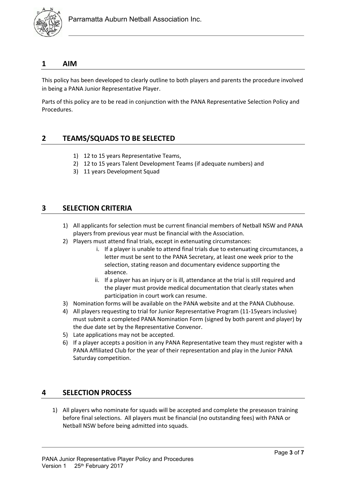

#### **1 AIM**

This policy has been developed to clearly outline to both players and parents the procedure involved in being a PANA Junior Representative Player.

Parts of this policy are to be read in conjunction with the PANA Representative Selection Policy and Procedures.

## **2 TEAMS/SQUADS TO BE SELECTED**

- 1) 12 to 15 years Representative Teams,
- 2) 12 to 15 years Talent Development Teams (if adequate numbers) and
- 3) 11 years Development Squad

## **3 SELECTION CRITERIA**

- 1) All applicants for selection must be current financial members of Netball NSW and PANA players from previous year must be financial with the Association.
- 2) Players must attend final trials, except in extenuating circumstances:
	- i. If a player is unable to attend final trials due to extenuating circumstances, a letter must be sent to the PANA Secretary, at least one week prior to the selection, stating reason and documentary evidence supporting the absence.
	- ii. If a player has an injury or is ill, attendance at the trial is still required and the player must provide medical documentation that clearly states when participation in court work can resume.
- 3) Nomination forms will be available on the PANA website and at the PANA Clubhouse.
- 4) All players requesting to trial for Junior Representative Program (11-15years inclusive) must submit a completed PANA Nomination Form (signed by both parent and player) by the due date set by the Representative Convenor.
- 5) Late applications may not be accepted.
- 6) If a player accepts a position in any PANA Representative team they must register with a PANA Affiliated Club for the year of their representation and play in the Junior PANA Saturday competition.

## **4 SELECTION PROCESS**

1) All players who nominate for squads will be accepted and complete the preseason training before final selections. All players must be financial (no outstanding fees) with PANA or Netball NSW before being admitted into squads.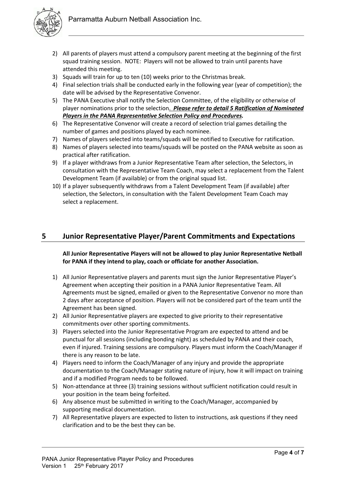

- 2) All parents of players must attend a compulsory parent meeting at the beginning of the first squad training session. NOTE: Players will not be allowed to train until parents have attended this meeting.
- 3) Squads will train for up to ten (10) weeks prior to the Christmas break.
- 4) Final selection trials shall be conducted early in the following year (year of competition); the date will be advised by the Representative Convenor.
- 5) The PANA Executive shall notify the Selection Committee, of the eligibility or otherwise of player nominations prior to the selection. *Please refer to detail 5 Ratification of Nominated Players in the PANA Representative Selection Policy and Procedures.*
- 6) The Representative Convenor will create a record of selection trial games detailing the number of games and positions played by each nominee.
- 7) Names of players selected into teams/squads will be notified to Executive for ratification.
- 8) Names of players selected into teams/squads will be posted on the PANA website as soon as practical after ratification.
- 9) If a player withdraws from a Junior Representative Team after selection, the Selectors, in consultation with the Representative Team Coach, may select a replacement from the Talent Development Team (if available) or from the original squad list.
- 10) If a player subsequently withdraws from a Talent Development Team (if available) after selection, the Selectors, in consultation with the Talent Development Team Coach may select a replacement.

## **5 Junior Representative Player/Parent Commitments and Expectations**

**All Junior Representative Players will not be allowed to play Junior Representative Netball for PANA if they intend to play, coach or officiate for another Association.**

- 1) All Junior Representative players and parents must sign the Junior Representative Player's Agreement when accepting their position in a PANA Junior Representative Team. All Agreements must be signed, emailed or given to the Representative Convenor no more than 2 days after acceptance of position. Players will not be considered part of the team until the Agreement has been signed.
- 2) All Junior Representative players are expected to give priority to their representative commitments over other sporting commitments.
- 3) Players selected into the Junior Representative Program are expected to attend and be punctual for all sessions (including bonding night) as scheduled by PANA and their coach, even if injured. Training sessions are compulsory. Players must inform the Coach/Manager if there is any reason to be late.
- 4) Players need to inform the Coach/Manager of any injury and provide the appropriate documentation to the Coach/Manager stating nature of injury, how it will impact on training and if a modified Program needs to be followed.
- 5) Non-attendance at three (3) training sessions without sufficient notification could result in your position in the team being forfeited.
- 6) Any absence must be submitted in writing to the Coach/Manager, accompanied by supporting medical documentation.
- 7) All Representative players are expected to listen to instructions, ask questions if they need clarification and to be the best they can be.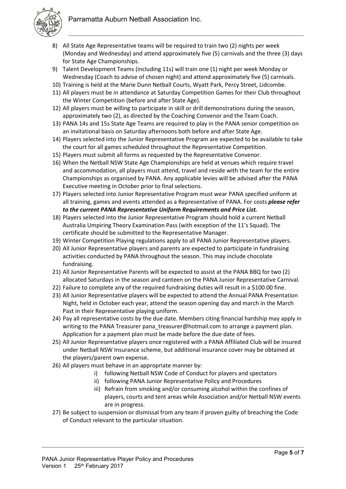

- 8) All State Age Representative teams will be required to train two (2) nights per week (Monday and Wednesday) and attend approximately five (5) carnivals and the three (3) days for State Age Championships.
- 9) Talent Development Teams (including 11s) will train one (1) night per week Monday or Wednesday (Coach to advise of chosen night) and attend approximately five (5) carnivals.
- 10) Training is held at the Marie Dunn Netball Courts, Wyatt Park, Percy Street, Lidcombe.
- 11) All players must be in attendance at Saturday Competition Games for their Club throughout the Winter Competition (before and after State Age).
- 12) All players must be willing to participate in skill or drill demonstrations during the season, approximately two (2), as directed by the Coaching Convenor and the Team Coach.
- 13) PANA 14s and 15s State Age Teams are required to play in the PANA senior competition on an invitational basis on Saturday afternoons both before and after State Age.
- 14) Players selected into the Junior Representative Program are expected to be available to take the court for all games scheduled throughout the Representative Competition.
- 15) Players must submit all forms as requested by the Representative Convenor.
- 16) When the Netball NSW State Age Championships are held at venues which require travel and accommodation, all players must attend, travel and reside with the team for the entire Championships as organised by PANA. Any applicable levies will be advised after the PANA Executive meeting in October prior to final selections.
- 17) Players selected into Junior Representative Program must wear PANA specified uniform at all training, games and events attended as a Representative of PANA. For costs *please refer to the current PANA Representative Uniform Requirements and Price List.*
- 18) Players selected into the Junior Representative Program should hold a current Netball Australia Umpiring Theory Examination Pass (with exception of the 11's Squad). The certificate should be submitted to the Representative Manager.
- 19) Winter Competition Playing regulations apply to all PANA Junior Representative players.
- 20) All Junior Representative players and parents are expected to participate in fundraising activities conducted by PANA throughout the season. This may include chocolate fundraising.
- 21) All Junior Representative Parents will be expected to assist at the PANA BBQ for two (2) allocated Saturdays in the season and canteen on the PANA Junior Representative Carnival.
- 22) Failure to complete any of the required fundraising duties will result in a \$100.00 fine.
- 23) All Junior Representative players will be expected to attend the Annual PANA Presentation Night, held in October each year, attend the season opening day and march in the March Past in their Representative playing uniform.
- 24) Pay all representative costs by the due date. Members citing financial hardship may apply in writing to the PANA Treasurer pana\_treasurer@hotmail.com to arrange a payment plan. Application for a payment plan must be made before the due date of fees.
- 25) All Junior Representative players once registered with a PANA Affiliated Club will be insured under Netball NSW Insurance scheme, but additional insurance cover may be obtained at the players/parent own expense.
- 26) All players must behave in an appropriate manner by:
	- i) following Netball NSW Code of Conduct for players and spectators
	- ii) following PANA Junior Representative Policy and Procedures
	- iii) Refrain from smoking and/or consuming alcohol within the confines of players, courts and tent areas while Association and/or Netball NSW events are in progress.
- 27) Be subject to suspension or dismissal from any team if proven guilty of breaching the Code of Conduct relevant to the particular situation.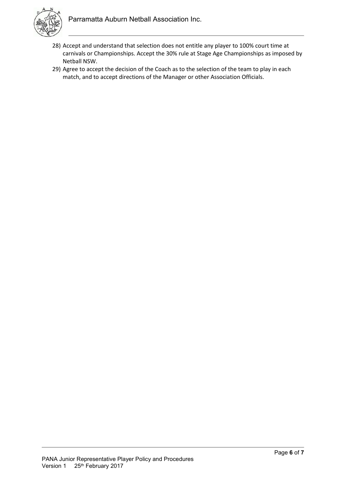

- 28) Accept and understand that selection does not entitle any player to 100% court time at carnivals or Championships. Accept the 30% rule at Stage Age Championships as imposed by Netball NSW.
- 29) Agree to accept the decision of the Coach as to the selection of the team to play in each match, and to accept directions of the Manager or other Association Officials.